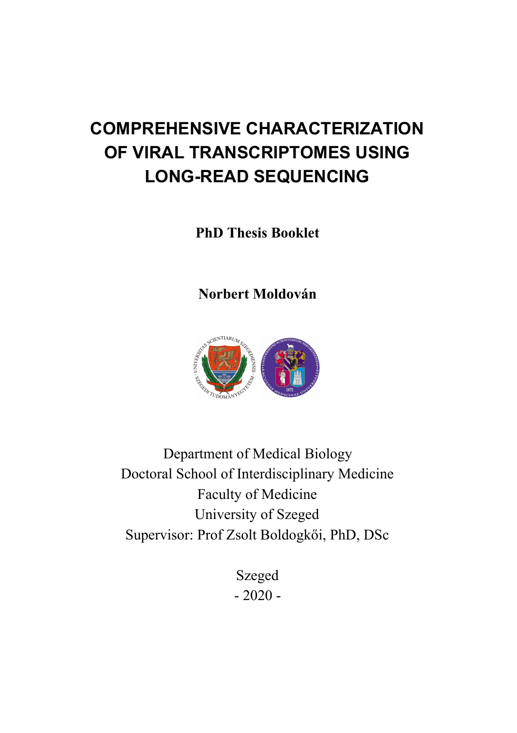# **COMPREHENSIVE CHARACTERIZATION** OF VIRAL TRANSCRIPTOMES USING **LONG-READ SEQUENCING**

**PhD Thesis Booklet** 

Norbert Moldován



Department of Medical Biology Doctoral School of Interdisciplinary Medicine Faculty of Medicine University of Szeged Supervisor: Prof Zsolt Boldogkői, PhD, DSc

> Szeged  $-2020 -$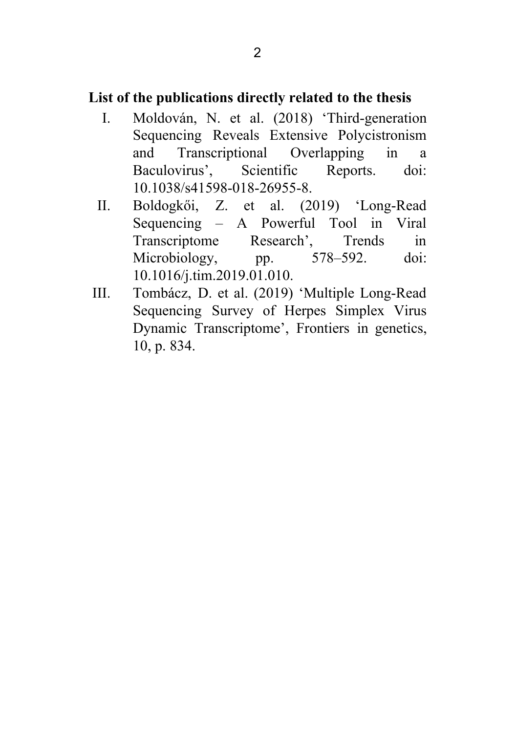# List of the publications directly related to the thesis

- Moldován, N. et al. (2018) 'Third-generation  $\mathbf{I}$ . Sequencing Reveals Extensive Polycistronism and Transcriptional Overlapping  $in$  $\mathbf{a}$ Baculovirus'. Scientific Reports.  $\dot{\text{doi}}$ 10.1038/s41598-018-26955-8.
- Boldogkői, Z. et al. (2019) 'Long-Read П. Sequencing – A Powerful Tool in Viral Transcriptome Research'. Trends in 578-592. Microbiology,  $doi$ pp. 10.1016/j.tim.2019.01.010.
- $III.$ Tombácz, D. et al. (2019) 'Multiple Long-Read Sequencing Survey of Herpes Simplex Virus Dynamic Transcriptome', Frontiers in genetics, 10, p. 834.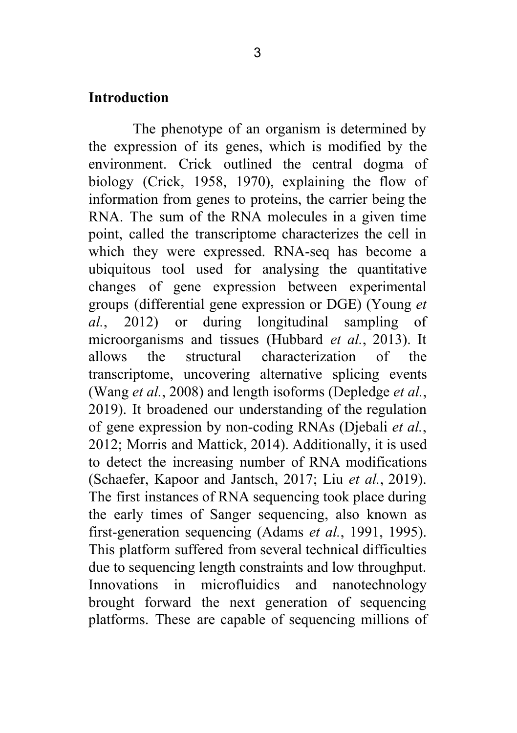#### **Introduction**

The phenotype of an organism is determined by the expression of its genes, which is modified by the environment. Crick outlined the central dogma of biology (Crick, 1958, 1970), explaining the flow of information from genes to proteins, the carrier being the RNA. The sum of the RNA molecules in a given time point, called the transcriptome characterizes the cell in which they were expressed. RNA-seq has become a ubiquitous tool used for analysing the quantitative changes of gene expression between experimental groups (differential gene expression or DGE) (Young et al., 2012) or during longitudinal sampling of microorganisms and tissues (Hubbard *et al.*, 2013). It allows the structural characterization  $\alpha$ f the transcriptome, uncovering alternative splicing events (Wang *et al.*, 2008) and length isoforms (Depledge *et al.*, 2019). It broadened our understanding of the regulation of gene expression by non-coding RNAs (Diebali et al., 2012; Morris and Mattick, 2014). Additionally, it is used to detect the increasing number of RNA modifications (Schaefer, Kapoor and Jantsch, 2017; Liu et al., 2019). The first instances of RNA sequencing took place during the early times of Sanger sequencing, also known as first-generation sequencing (Adams et al., 1991, 1995). This platform suffered from several technical difficulties due to sequencing length constraints and low throughput. and nanotechnology Innovations in microfluidics brought forward the next generation of sequencing platforms. These are capable of sequencing millions of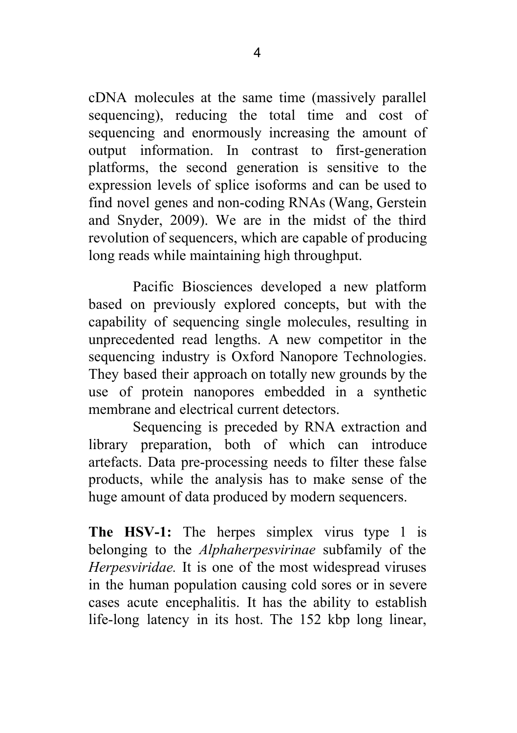cDNA molecules at the same time (massively parallel sequencing), reducing the total time and cost of sequencing and enormously increasing the amount of output information. In contrast to first-generation platforms, the second generation is sensitive to the expression levels of splice isoforms and can be used to find novel genes and non-coding RNAs (Wang, Gerstein and Snyder, 2009). We are in the midst of the third revolution of sequencers, which are capable of producing long reads while maintaining high throughput.

Pacific Biosciences developed a new platform based on previously explored concepts, but with the capability of sequencing single molecules, resulting in unprecedented read lengths. A new competitor in the sequencing industry is Oxford Nanopore Technologies. They based their approach on totally new grounds by the use of protein nanopores embedded in a synthetic membrane and electrical current detectors

Sequencing is preceded by RNA extraction and library preparation, both of which can introduce artefacts. Data pre-processing needs to filter these false products, while the analysis has to make sense of the huge amount of data produced by modern sequencers.

The HSV-1: The herpes simplex virus type 1 is belonging to the *Alphaherpesviringe* subfamily of the Herpesviridae. It is one of the most widespread viruses in the human population causing cold sores or in severe cases acute encephalitis. It has the ability to establish life-long latency in its host. The 152 kbp long linear,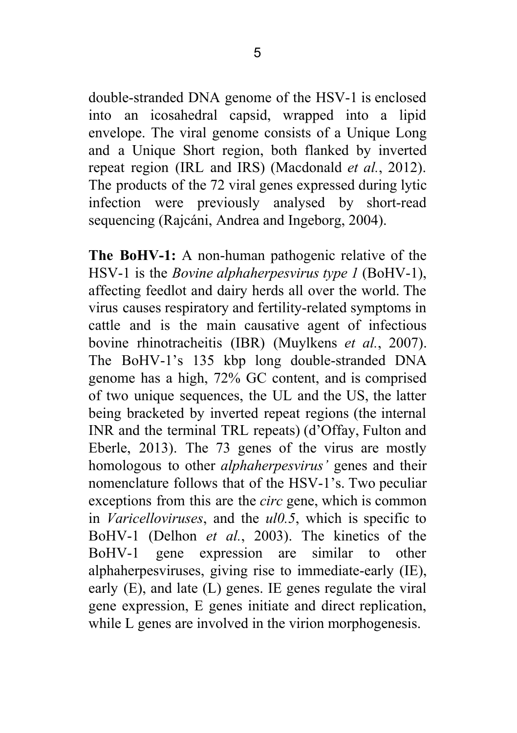into an icosahedral capsid, wrapped into a lipid envelope. The viral genome consists of a Unique Long and a Unique Short region, both flanked by inverted repeat region (IRL and IRS) (Macdonald *et al.*, 2012). The products of the 72 viral genes expressed during lytic infection were previously analysed by short-read sequencing (Rajcáni, Andrea and Ingeborg, 2004).

The BoHV-1: A non-human pathogenic relative of the HSV-1 is the *Bovine alphaherpesvirus type 1* (BoHV-1), affecting feedlot and dairy herds all over the world. The virus causes respiratory and fertility-related symptoms in cattle and is the main causative agent of infectious bovine rhinotracheitis (IBR) (Muylkens et al., 2007). The BoHV-1's 135 kbp long double-stranded DNA genome has a high, 72% GC content, and is comprised of two unique sequences, the UL and the US, the latter being bracketed by inverted repeat regions (the internal INR and the terminal TRL repeats) (d'Offay, Fulton and Eberle, 2013). The 73 genes of the virus are mostly homologous to other *alphaherpesvirus'* genes and their nomenclature follows that of the HSV-1's. Two peculiar exceptions from this are the *circ* gene, which is common in Varicelloviruses, and the ul0.5, which is specific to BoHV-1 (Delhon et al., 2003). The kinetics of the expression are  $BoHV-1$ gene similar  $\frac{1}{2}$ other alphaherpesviruses, giving rise to immediate-early (IE), early  $(E)$ , and late  $(L)$  genes. IE genes regulate the viral gene expression. E genes initiate and direct replication. while L genes are involved in the virion morphogenesis.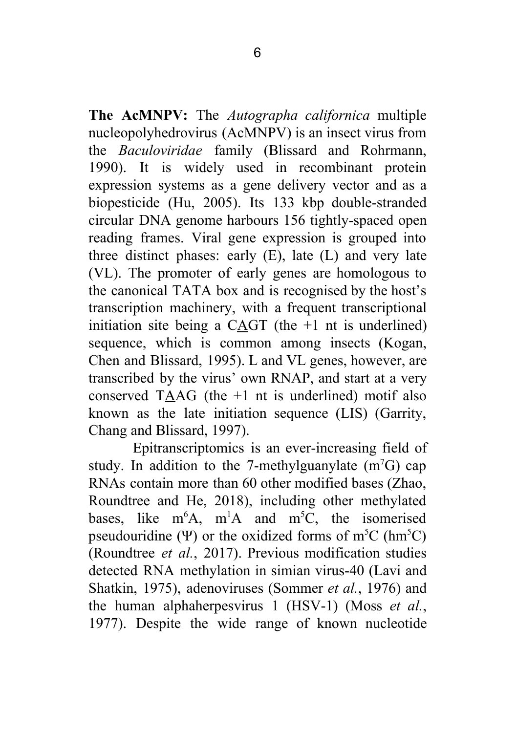The AcMNPV: The Autographa californica multiple nucleopolyhedrovirus (AcMNPV) is an insect virus from the *Baculoviridae* family (Blissard and Rohrmann, 1990). It is widely used in recombinant protein expression systems as a gene delivery vector and as a biopesticide (Hu, 2005). Its 133 kbp double-stranded circular DNA genome harbours 156 tightly-spaced open reading frames. Viral gene expression is grouped into three distinct phases: early (E), late (L) and very late (VL). The promoter of early genes are homologous to the canonical TATA box and is recognised by the host's transcription machinery, with a frequent transcriptional initiation site being a CAGT (the  $+1$  nt is underlined) sequence, which is common among insects (Kogan, Chen and Blissard, 1995). L and VL genes, however, are transcribed by the virus' own RNAP, and start at a very conserved TAAG (the  $+1$  nt is underlined) motif also known as the late initiation sequence (LIS) (Garrity, Chang and Blissard, 1997).

Epitranscriptomics is an ever-increasing field of study. In addition to the 7-methylguanylate  $(m<sup>7</sup>G)$  cap RNAs contain more than 60 other modified bases (Zhao, Roundtree and He, 2018), including other methylated bases, like  $m<sup>6</sup>A$ ,  $m<sup>1</sup>A$  and  $m<sup>5</sup>C$ , the isomerised pseudouridine ( $\Psi$ ) or the oxidized forms of m<sup>5</sup>C ( $\text{hm}^5$ C) (Roundtree *et al.*, 2017). Previous modification studies detected RNA methylation in simian virus-40 (Lavi and Shatkin, 1975), adenoviruses (Sommer et al., 1976) and the human alphaheroesvirus 1  $(HSV-1)$  (Moss *et al.,* 1977). Despite the wide range of known nucleotide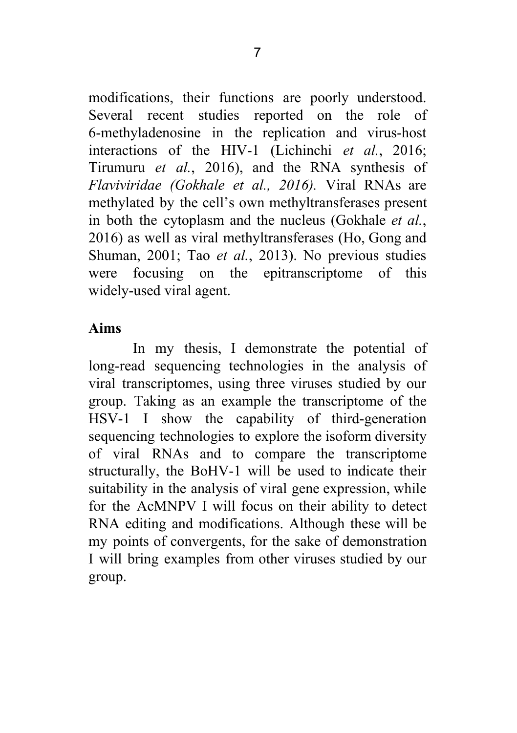modifications, their functions are poorly understood. Several recent studies reported on the role of 6-methyladenosine in the replication and virus-host interactions of the HIV-1 (Lichinchi et al., 2016; Tirumuru et al., 2016), and the RNA synthesis of Flaviviridae (Gokhale et al., 2016). Viral RNAs are methylated by the cell's own methyltransferases present in both the cytoplasm and the nucleus (Gokhale et al., 2016) as well as viral methyltransferases (Ho, Gong and Shuman, 2001; Tao et al., 2013). No previous studies were focusing on the epitranscriptome of this widely-used viral agent.

### Aims

In my thesis, I demonstrate the potential of long-read sequencing technologies in the analysis of viral transcriptomes, using three viruses studied by our group. Taking as an example the transcriptome of the HSV-1 I show the capability of third-generation sequencing technologies to explore the isoform diversity of viral RNAs and to compare the transcriptome structurally, the BoHV-1 will be used to indicate their suitability in the analysis of viral gene expression, while for the AcMNPV I will focus on their ability to detect RNA editing and modifications. Although these will be my points of convergents, for the sake of demonstration I will bring examples from other viruses studied by our group.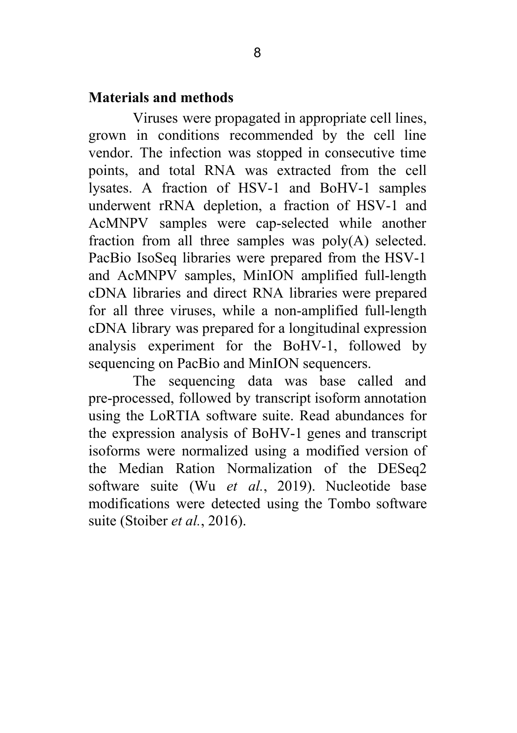## Materials and methods

Viruses were propagated in appropriate cell lines, grown in conditions recommended by the cell line vendor. The infection was stopped in consecutive time points, and total RNA was extracted from the cell lysates. A fraction of HSV-1 and BoHV-1 samples underwent rRNA depletion, a fraction of HSV-1 and AcMNPV samples were cap-selected while another fraction from all three samples was poly(A) selected. PacBio IsoSeq libraries were prepared from the HSV-1 and AcMNPV samples, MinION amplified full-length cDNA libraries and direct RNA libraries were prepared for all three viruses, while a non-amplified full-length cDNA library was prepared for a longitudinal expression analysis experiment for the BoHV-1, followed by sequencing on PacBio and MinION sequencers.

The sequencing data was base called and pre-processed, followed by transcript isoform annotation using the LoRTIA software suite. Read abundances for the expression analysis of BoHV-1 genes and transcript isoforms were normalized using a modified version of the Median Ration Normalization of the DESeq2 software suite (Wu et al., 2019). Nucleotide base modifications were detected using the Tombo software suite (Stoiber et al., 2016).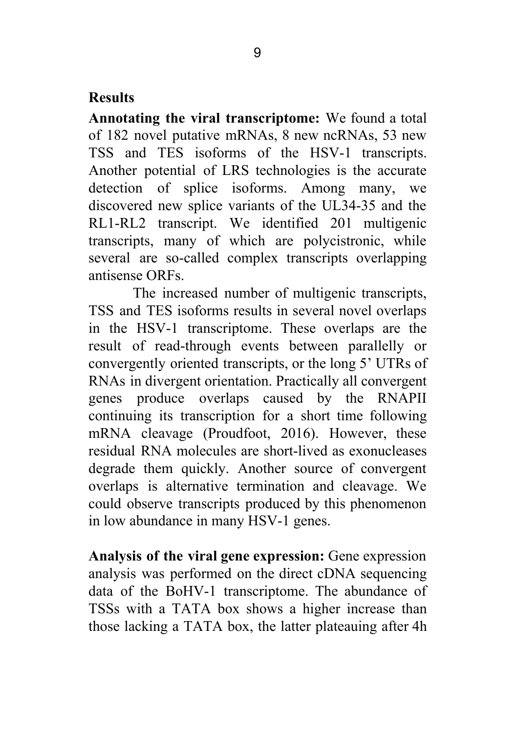# **Results**

Annotating the viral transcriptome: We found a total of 182 novel putative mRNAs, 8 new ncRNAs, 53 new TSS and TES isoforms of the HSV-1 transcripts. Another potential of LRS technologies is the accurate detection of splice isoforms. Among many, we discovered new splice variants of the UL34-35 and the RL1-RL2 transcript. We identified 201 multigenic transcripts, many of which are polycistronic, while several are so-called complex transcripts overlapping antisense ORFs.

The increased number of multigenic transcripts, TSS and TES isoforms results in several novel overlaps in the HSV-1 transcriptome. These overlaps are the result of read-through events between parallelly or convergently oriented transcripts, or the long 5' UTRs of RNAs in divergent orientation. Practically all convergent genes produce overlaps caused by the RNAPII continuing its transcription for a short time following mRNA cleavage (Proudfoot, 2016). However, these residual RNA molecules are short-lived as exonucleases degrade them quickly. Another source of convergent overlaps is alternative termination and cleavage. We could observe transcripts produced by this phenomenon in low abundance in many HSV-1 genes.

Analysis of the viral gene expression: Gene expression analysis was performed on the direct cDNA sequencing data of the BoHV-1 transcriptome. The abundance of TSSs with a TATA box shows a higher increase than those lacking a TATA box, the latter plateauing after 4h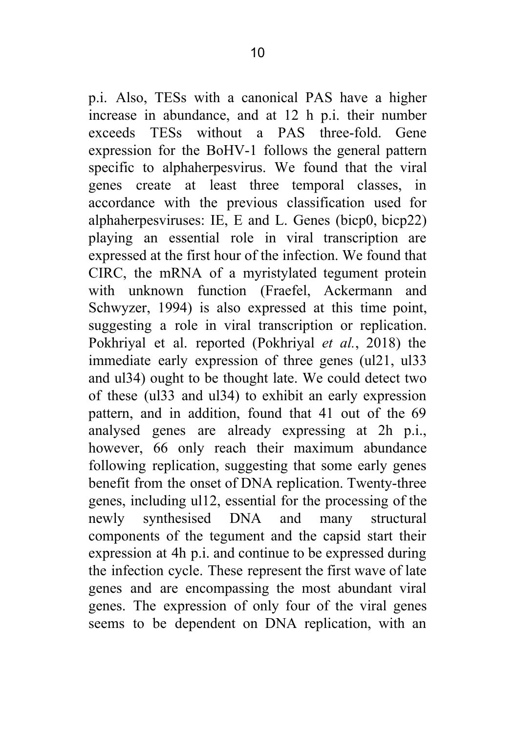p.i. Also, TESs with a canonical PAS have a higher increase in abundance, and at 12 h p.i. their number exceeds TESs without a PAS three-fold. Gene expression for the BoHV-1 follows the general pattern specific to alphaherpesvirus. We found that the viral genes create at least three temporal classes, in accordance with the previous classification used for alphaherpesviruses: IE, E and L. Genes (bicp0, bicp22) playing an essential role in viral transcription are expressed at the first hour of the infection. We found that CIRC, the mRNA of a myristylated tegument protein with unknown function (Fraefel, Ackermann and Schwyzer, 1994) is also expressed at this time point, suggesting a role in viral transcription or replication. Pokhrival et al. reported (Pokhrival et al., 2018) the immediate early expression of three genes (ul21, ul33) and ul34) ought to be thought late. We could detect two of these (ul33 and ul34) to exhibit an early expression pattern, and in addition, found that 41 out of the 69 analysed genes are already expressing at 2h p.i., however, 66 only reach their maximum abundance following replication, suggesting that some early genes benefit from the onset of DNA replication. Twenty-three genes, including ull2, essential for the processing of the newly synthesised DNA and many structural components of the tegument and the capsid start their expression at 4h p.i. and continue to be expressed during the infection cycle. These represent the first wave of late genes and are encompassing the most abundant viral genes. The expression of only four of the viral genes seems to be dependent on DNA replication, with an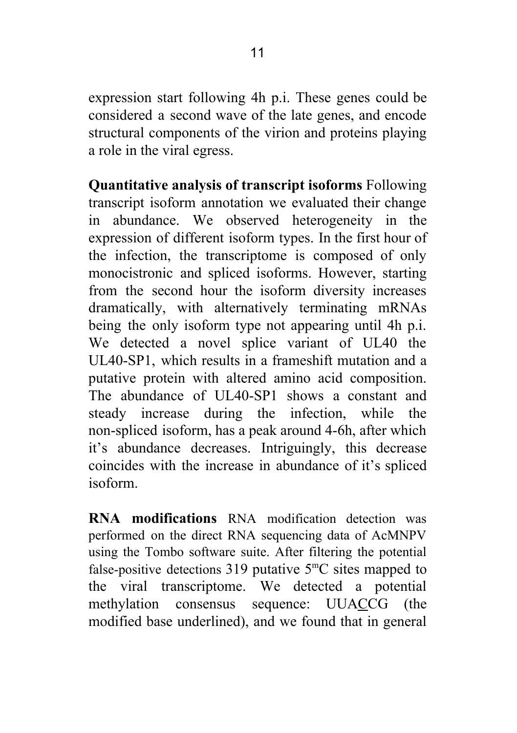expression start following 4h p.i. These genes could be considered a second wave of the late genes, and encode structural components of the virion and proteins playing a role in the viral egress.

Quantitative analysis of transcript isoforms Following transcript isoform annotation we evaluated their change abundance. We observed heterogeneity in the  $in$ expression of different isoform types. In the first hour of the infection, the transcriptome is composed of only monocistronic and spliced isoforms. However, starting from the second hour the isoform diversity increases dramatically, with alternatively terminating mRNAs being the only isoform type not appearing until 4h p.i. We detected a novel splice variant of UL40 the  $UIA0-SP1$ , which results in a frameshift mutation and a putative protein with altered amino acid composition. The abundance of UL40-SP1 shows a constant and steady increase during the infection, while the non-spliced isoform, has a peak around 4-6h, after which it's abundance decreases. Intriguingly, this decrease coincides with the increase in abundance of it's spliced isoform

**RNA** modifications RNA modification detection was performed on the direct RNA sequencing data of AcMNPV using the Tombo software suite. After filtering the potential false-positive detections 319 putative  $5^{\circ}$ C sites mapped to the viral transcriptome. We detected a potential methylation consensus sequence: UUACCG (the modified base underlined), and we found that in general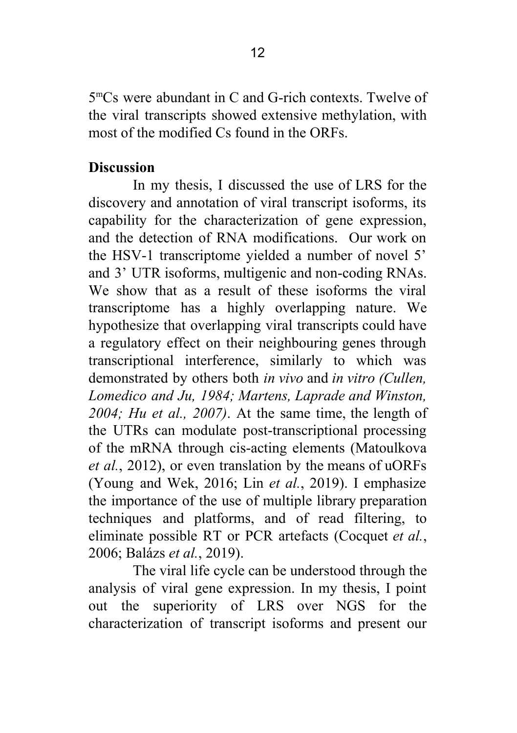$5^{\rm m}$ Cs were abundant in C and G-rich contexts. Twelve of the viral transcripts showed extensive methylation, with most of the modified Cs found in the ORFs.

#### **Discussion**

In my thesis, I discussed the use of LRS for the discovery and annotation of viral transcript isoforms, its capability for the characterization of gene expression, and the detection of RNA modifications. Our work on the HSV-1 transcriptome vielded a number of novel 5' and 3' UTR isoforms, multigenic and non-coding RNAs. We show that as a result of these isoforms the viral transcriptome has a highly overlapping nature. We hypothesize that overlapping viral transcripts could have a regulatory effect on their neighbouring genes through transcriptional interference, similarly to which was demonstrated by others both in vivo and in vitro (Cullen. Lomedico and Ju, 1984; Martens, Laprade and Winston,  $2004$ ; Hu et al.,  $2007$ ). At the same time, the length of the UTRs can modulate post-transcriptional processing of the mRNA through cis-acting elements (Matoulkova *et al.*, 2012), or even translation by the means of uORFs (Young and Wek, 2016; Lin et al., 2019). I emphasize the importance of the use of multiple library preparation techniques and platforms, and of read filtering, to eliminate possible RT or PCR artefacts (Cocquet et al., 2006: Balázs et al., 2019).

The viral life cycle can be understood through the analysis of viral gene expression. In my thesis, I point out the superiority of LRS over NGS for the characterization of transcript isoforms and present our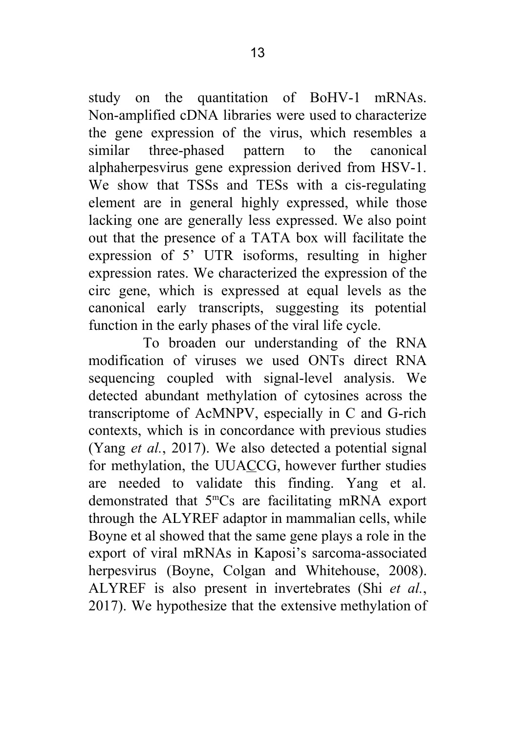study on the quantitation of BoHV-1 mRNAs. Non-amplified cDNA libraries were used to characterize the gene expression of the virus, which resembles a three-phased pattern similar  $\mathfrak{t}$ the canonical alphaherpesvirus gene expression derived from HSV-1. We show that TSSs and TESs with a cis-regulating element are in general highly expressed, while those lacking one are generally less expressed. We also point out that the presence of a TATA box will facilitate the expression of 5' UTR isoforms, resulting in higher expression rates. We characterized the expression of the circ gene, which is expressed at equal levels as the canonical early transcripts, suggesting its potential function in the early phases of the viral life cycle.

To broaden our understanding of the RNA modification of viruses we used ONTs direct RNA sequencing coupled with signal-level analysis. We detected abundant methylation of cytosines across the transcriptome of AcMNPV, especially in C and G-rich contexts, which is in concordance with previous studies (Yang et al., 2017). We also detected a potential signal for methylation, the UUACCG, however further studies are needed to validate this finding. Yang et al. demonstrated that 5<sup>m</sup>Cs are facilitating mRNA export through the ALYREF adaptor in mammalian cells, while Boyne et al showed that the same gene plays a role in the export of viral mRNAs in Kaposi's sarcoma-associated herpesvirus (Boyne, Colgan and Whitehouse, 2008). ALYREF is also present in invertebrates (Shi et al., 2017). We hypothesize that the extensive methylation of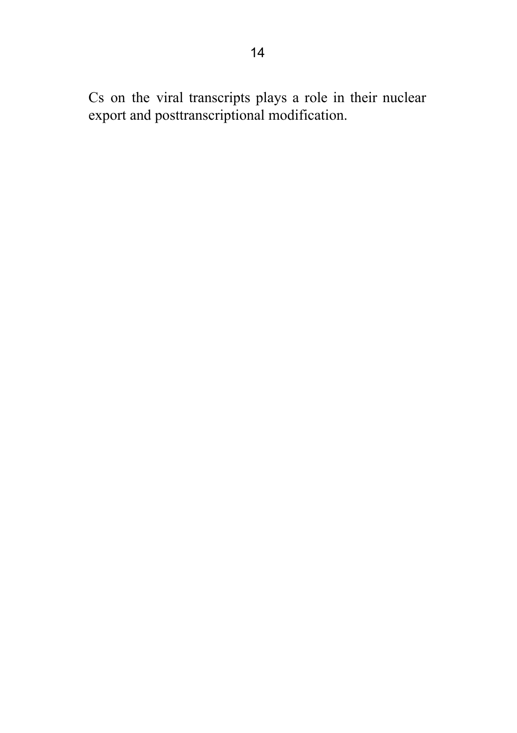Cs on the viral transcripts plays a role in their nuclear export and posttranscriptional modification.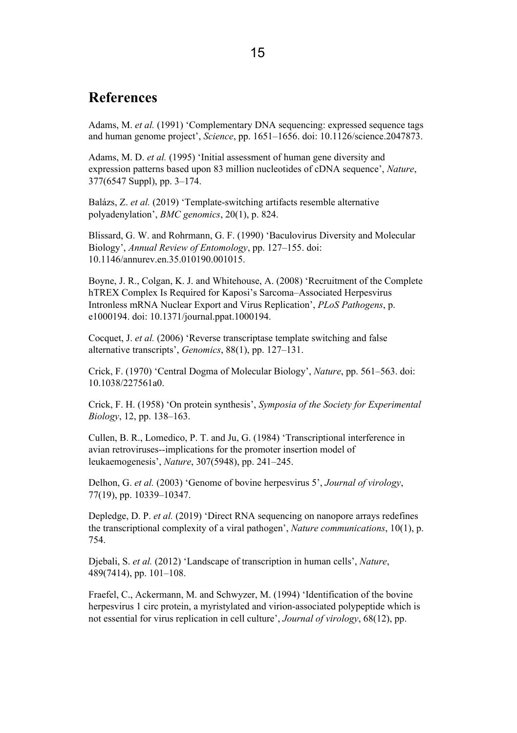#### **References**

Adams. M. et al. (1991) 'Complementary DNA sequencing: expressed sequence tags and human genome project', Science, pp. 1651-1656. doi: 10.1126/science.2047873.

Adams, M. D. et al. (1995) 'Initial assessment of human gene diversity and expression patterns based upon 83 million nucleotides of cDNA sequence', Nature, 377(6547 Suppl), pp. 3-174.

Balázs, Z. et al. (2019) 'Template-switching artifacts resemble alternative polyadenylation', BMC genomics, 20(1), p. 824.

Blissard, G. W. and Rohrmann, G. F. (1990) 'Baculovirus Diversity and Molecular Biology', Annual Review of Entomology, pp. 127-155, doi: 10.1146/annurey.en.35.010190.001015.

Boyne, J. R., Colgan, K. J. and Whitehouse, A. (2008) 'Recruitment of the Complete hTREX Complex Is Required for Kaposi's Sarcoma–Associated Hernesvirus Intronless mRNA Nuclear Export and Virus Replication', *PLoS Pathogens*, p. e1000194. doi: 10.1371/journal.ppat.1000194.

Cocquet, J. et al. (2006) 'Reverse transcriptase template switching and false alternative transcripts', Genomics, 88(1), pp. 127-131.

Crick, F. (1970) 'Central Dogma of Molecular Biology', *Nature*, pp. 561–563. doi: 10.1038/227561a0.

Crick, F. H. (1958) 'On protein synthesis', Symposia of the Society for Experimental Biology, 12, pp. 138-163.

Cullen, B. R., Lomedico, P. T. and Ju, G. (1984) 'Transcriptional interference in avian retroviruses--implications for the promoter insertion model of leukaemogenesis', *Nature*, 307(5948), pp. 241–245.

Delhon, G. et al. (2003) 'Genome of bovine herpesvirus 5', Journal of virology, 77(19), pp. 10339-10347.

Depledge, D. P. et al. (2019) 'Direct RNA sequencing on nanopore arrays redefines the transcriptional complexity of a viral pathogen', Nature communications, 10(1), p. 754

Diebali, S. et al. (2012) 'Landscape of transcription in human cells', Nature,  $489(7414)$ , pp.  $101-108$ .

Fraefel, C., Ackermann, M. and Schwyzer, M. (1994) 'Identification of the bovine heroesvirus 1 circ protein, a myristylated and virion-associated polypeptide which is not essential for virus replication in cell culture'. Journal of virology, 68(12), pp.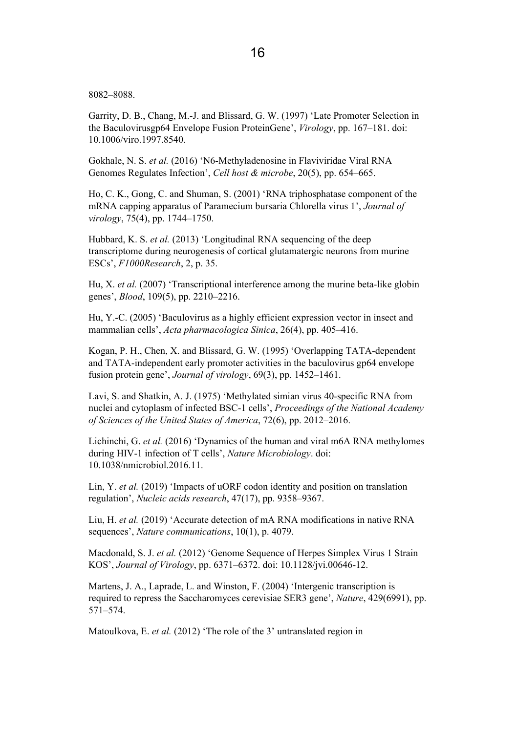8082-8088.

Garrity, D. B., Chang, M.-J. and Blissard, G. W. (1997) 'Late Promoter Selection in the Baculovirusgp64 Envelope Fusion ProteinGene', Virology, pp. 167–181. doi: 10.1006/viro.1997.8540.

Gokhale, N. S. et al. (2016) 'N6-Methyladenosine in Flaviviridae Viral RNA Genomes Regulates Infection', Cell host & microbe, 20(5), pp. 654-665.

Ho, C. K., Gong, C. and Shuman, S. (2001) 'RNA triphosphatase component of the mRNA capping apparatus of Paramecium bursaria Chlorella virus 1', Journal of virology, 75(4), pp. 1744-1750.

Hubbard, K. S. et al. (2013) 'Longitudinal RNA sequencing of the deep transcriptome during neurogenesis of cortical glutamatergic neurons from murine ESCs', F1000Research, 2, p. 35.

Hu, X. et al. (2007) 'Transcriptional interference among the murine beta-like globin genes', *Blood*, 109(5), pp. 2210–2216.

Hu, Y.-C. (2005) 'Baculovirus as a highly efficient expression vector in insect and mammalian cells', Acta pharmacologica Sinica, 26(4), pp. 405–416.

Kogan, P. H., Chen, X. and Blissard, G. W. (1995) 'Overlapping TATA-dependent and TATA-independent early promoter activities in the baculovirus gp64 envelope fusion protein gene', Journal of virology, 69(3), pp. 1452-1461.

Lavi, S. and Shatkin, A. J. (1975) 'Methylated simian virus 40-specific RNA from nuclei and cytoplasm of infected BSC-1 cells', Proceedings of the National Academy of Sciences of the United States of America, 72(6), pp. 2012–2016.

Lichinchi, G. et al. (2016) 'Dynamics of the human and viral m6A RNA methylomes during HIV-1 infection of T cells', Nature Microbiology. doi: 10.1038/nmicrobiol.2016.11.

Lin, Y. et al.  $(2019)$  'Impacts of uORF codon identity and position on translation regulation', Nucleic acids research, 47(17), pp. 9358–9367.

Liu, H. et al. (2019) 'Accurate detection of mA RNA modifications in native RNA sequences', *Nature communications*, 10(1), p. 4079.

Macdonald, S. J. et al. (2012) 'Genome Sequence of Herpes Simplex Virus 1 Strain KOS', Journal of Virology, pp. 6371–6372, doi: 10.1128/jvi.00646-12.

Martens J. A. Laprade L. and Winston F. (2004) 'Intergenic transcription is required to repress the Saccharomyces cerevisiae SER3 gene', Nature, 429(6991), pp.  $571 - 574$ 

Matoulkova, E. et al. (2012) 'The role of the 3' untranslated region in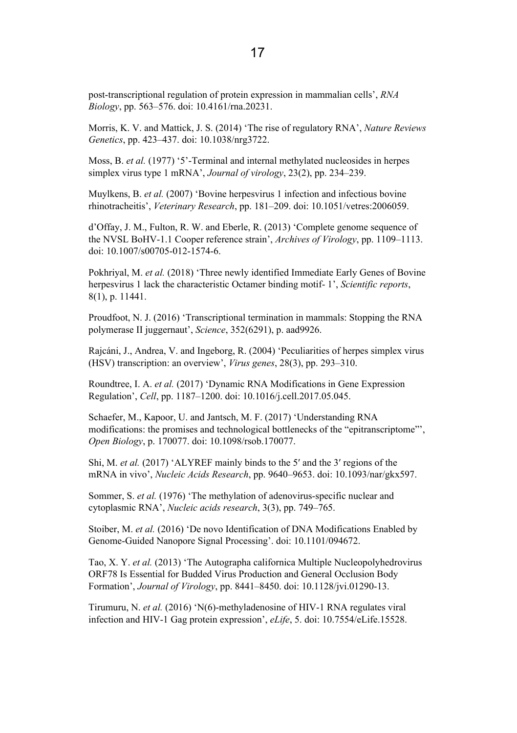post-transcriptional regulation of protein expression in mammalian cells', RNA Biology, pp. 563–576. doi: 10.4161/rna.20231.

Morris, K. V. and Mattick, J. S. (2014) 'The rise of regulatory RNA', Nature Reviews Genetics, pp. 423-437. doi: 10.1038/nrg3722.

Moss. B. et al. (1977) '5'-Terminal and internal methylated nucleosides in hernes simplex virus type 1 mRNA', Journal of virology, 23(2), pp. 234–239.

Muylkens, B. et al. (2007) 'Bovine herpesvirus 1 infection and infectious bovine rhinotracheitis', Veterinary Research, pp. 181-209. doi: 10.1051/vetres:2006059.

d'Offay, J. M., Fulton, R. W. and Eberle, R. (2013) 'Complete genome sequence of the NVSL BoHV-1.1 Cooper reference strain', Archives of Virology, pp. 1109–1113. doi: 10.1007/s00705-012-1574-6.

Pokhriyal, M. et al. (2018) 'Three newly identified Immediate Early Genes of Bovine herpesvirus 1 lack the characteristic Octamer binding motif-1', Scientific reports,  $8(1)$ , p. 11441.

Proudfoot, N. J. (2016) 'Transcriptional termination in mammals: Stopping the RNA polymerase II juggernaut', Science, 352(6291), p. aad9926.

Rajcáni, J., Andrea, V. and Ingeborg, R. (2004) 'Peculiarities of herpes simplex virus (HSV) transcription: an overview', Virus genes, 28(3), pp. 293–310.

Roundtree, I. A. et al. (2017) 'Dynamic RNA Modifications in Gene Expression Regulation', Cell, pp. 1187-1200, doi: 10.1016/j.cell.2017.05.045.

Schaefer, M., Kapoor, U. and Jantsch, M. F. (2017) 'Understanding RNA modifications: the promises and technological bottlenecks of the "epitranscriptome"'. Open Biology, p. 170077. doi: 10.1098/rsob.170077.

Shi, M. et al. (2017) 'ALYREF mainly binds to the 5' and the 3' regions of the mRNA in vivo', Nucleic Acids Research, pp. 9640-9653. doi: 10.1093/nar/gkx597.

Sommer, S. et al. (1976) 'The methylation of adenovirus-specific nuclear and cytoplasmic RNA', Nucleic acids research, 3(3), pp. 749–765.

Stoiber, M. et al. (2016) 'De novo Identification of DNA Modifications Enabled by Genome-Guided Nanopore Signal Processing'. doi: 10.1101/094672.

Tao, X. Y. et al. (2013) 'The Autographa californica Multiple Nucleopolyhedrovirus ORF78 Is Essential for Budded Virus Production and General Occlusion Body Formation'. Journal of Virology. pp. 8441-8450. doi: 10.1128/ivi.01290-13.

Tirumuru, N. et al. (2016) 'N(6)-methyladenosine of HIV-1 RNA regulates viral infection and HIV-1 Gag protein expression', eLife, 5, doi: 10.7554/eLife, 15528.